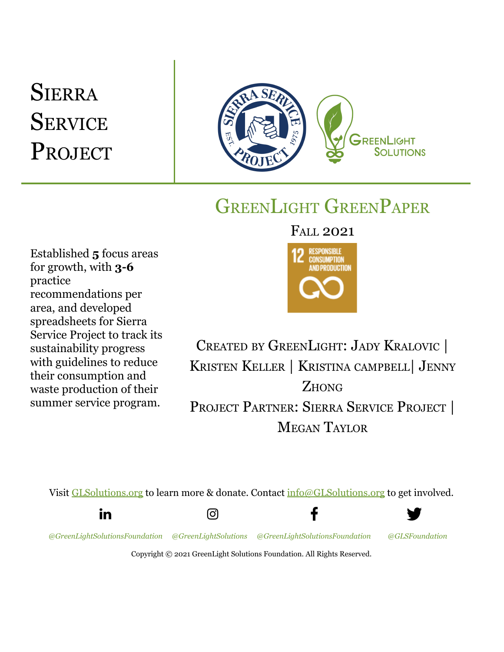# **SIERRA SERVICE** PROJECT



## GREENLIGHT GREENPAPER

Established **5** focus areas for growth, with **3-6** practice recommendations per area, and developed spreadsheets for Sierra Service Project to track its sustainability progress with guidelines to reduce their consumption and waste production of their summer service program.

FALL 2021



CREATED BY GREENLIGHT: JADY KRALOVIC | KRISTEN KELLER | KRISTINA CAMPBELL| JENNY **ZHONG** PROJECT PARTNER: SIERRA SERVICE PROJECT | MEGAN TAYLOR

f

Visit [GLSolutions.org](https://www.glsolutions.org/) to learn more & donate. Contact [info@GLSolutions.org](mailto:info@GLSolutions.org) to get involved.





*[@GreenLightSolutionsFoundation](https://www.linkedin.com/company/10571635) [@GreenLightSolutions](https://www.instagram.com/greenlightsolutions/) [@GreenLightSolutionsFoundation](https://www.facebook.com/GreenLightSolutionsFoundation/) [@GLSFoundation](https://twitter.com/GLSFoundation)*



Copyright © 2021 GreenLight Solutions Foundation. All Rights Reserved.